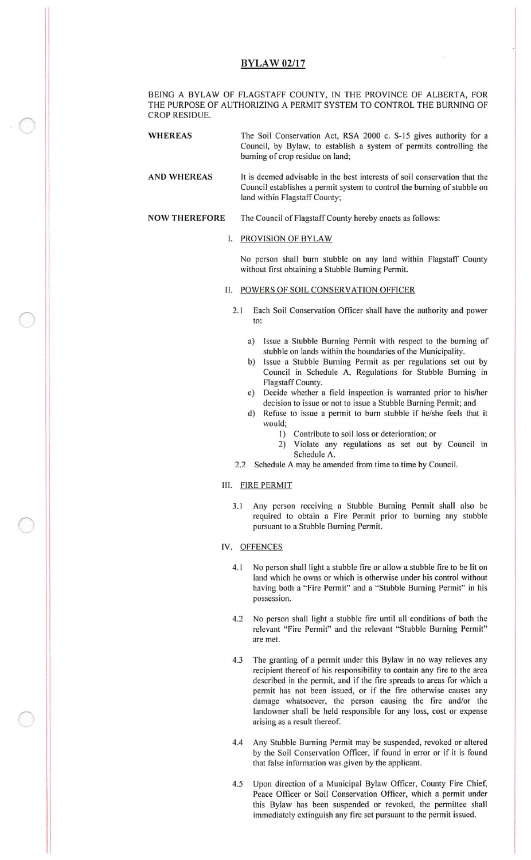# **BYLAW 02/17**

BEING A BYLAW OF FLAGSTAFF COUNTY, IN THE PROVINCE OF ALBERTA, FOR THE PURPOSE OF AUTHORIZING A PERMIT SYSTEM TO CONTROL THE BURNING OF CROP RESIDUE.

WHEREAS The Soil Conservation Act, RSA 2000 c. S-15 gives authority for a Council, by Bylaw, to establish <sup>a</sup> system of permits controlling the burning of crop residue on land;

AND WHEREAS It is deemed advisable in the best interests of soil conservation that the Council establishes <sup>a</sup> permit system to control the burning of stubble on land within Flagstaff County;

#### NOW THEREFORE The Council of Flagstaff County hereby enacts as follows:

### I. PROVISION OF BYLAW

No person shall bum stubble on any land within Flagstaff County without first obtaining a Stubble Burning Permit.

#### 11. POWERS OF SOIL CONSERVATION OFFICER

- 2.1 Each Soil Conservation Officer shall have the authority and power to:
	- a) Issue <sup>a</sup> Stubble Burning Permit with respect to the burning of stubble on lands within the boundaries of the Municipality.
	- b) Issue a Stubble Burning Permit as per regulations set out by Council in Schedule A, Regulations for Stubble Burning in Flagstaff County.
	- c) Decide whether a field inspection is warranted prior to his/her decision to issue or not to issue a Stubble Burning Permit; and
	- d) Refuse to issue a permit to burn stubble if he/she feels that it would;
		- 1) Contribute to soil loss or deterioration; or
		- 2) Violate any regulations as set out by Council in Schedule A.
- 2.2 Schedule A may be amended from time to time by Council.

# Ill. FIRE PERMIT

- 3. <sup>1</sup> Any person receiving a Stubble Burning Permit shall also be required to obtain a Fire Permit prior to burning any stubble pursuant to a Stubble Burning Permit.
- IV. OFFENCES

 $\overline{O}$ 

- 4.1 No person shall light a stubble fire or allow a stubble fire to be lit on land which he owns or which is otherwise under his control without having both a "Fire Permit" and a "Stubble Burning Permit" in his possession.
- 4.2 No person shall light <sup>a</sup> stubble fire until all conditions of both the relevant "Fire Permit" and the relevant "Stubble Burning Permit" are met.
- 4.3 The granting of a permit under this Bylaw in no way relieves any recipient thereof of his responsibility to contain any fire to the area described in the permit, and if the fire spreads to areas for which <sup>a</sup> permit has not been issued, or if the fire otherwise causes any damage whatsoever, the person causing the fire and/or the landowner shall be held responsible for any loss, cost or expense arising as a result thereof.
- 4.4 Any Stubble Burning Permit may be suspended, revoked or altered by the Soil Conservation Officer, if found in error or if it is found that false information was given by the applicant.
- 4.5 Upon direction of <sup>a</sup> Municipal Bylaw Officer, County Fire Chief, Peace Officer or Soil Conservation Officer, which a permit under this Bylaw has been suspended or revoked, the permittee shall immediately extinguish any fire set pursuant to the permit issued.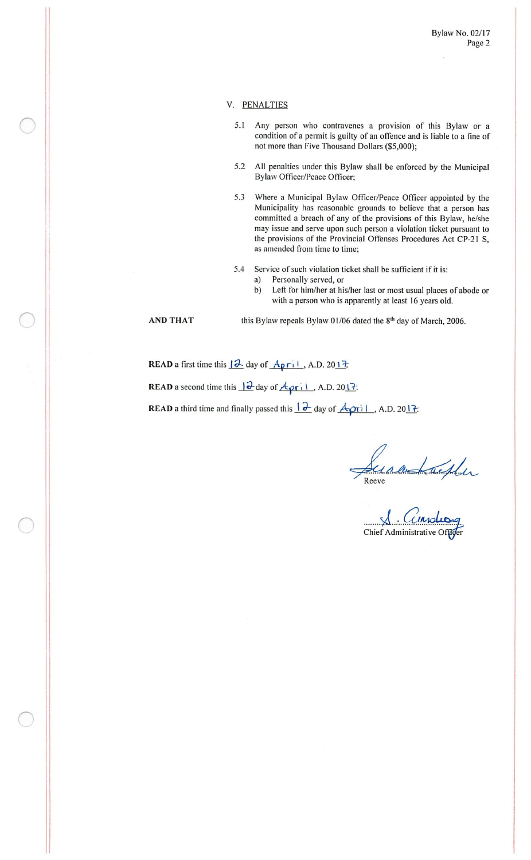## V. PENALTIES

- 5.1 Any person who contravenes a provision of this Bylaw or a condition of <sup>a</sup> permit is guilty of an offence and is liable to <sup>a</sup> fine of not more than Five Thousand Dollars (\$5,000);
- 5.2 All penalties under this Bylaw shall be enforced by the Municipal Bylaw Officer/Peace Officer;
- 5.3 Where a Municipal Bylaw Officer/Peace Officer appointed by the Municipality has reasonable grounds to believe that a person has committed a breach of any of the provisions of this Bylaw, he/she may issue and serve upon such person a violation ticket pursuant to the provisions of the Provincial Offenses Procedures Act CP-21 S, as amended from time to time;

5.4 Service of such violation ticket shall be sufficient if it is:

a) Personally served, or<br>b) Left for him/her at hi Left for him/her at his/her last or most usual places of abode or with a person who is apparently at least 16 years old.

O

 $\bigcirc$ 

AND THAT this Bylaw repeals Bylaw 01/06 dated the  $8<sup>th</sup>$  day of March, 2006.

READ a first time this  $\sqrt{2}$  day of  $\sqrt{A\rho\Gamma(1)}$ , A.D. 2017.

**READ** a second time this  $\frac{|\partial}{\partial x}$  day of  $\frac{A}{\partial x}$ ; 1, A.D. 2017.

**READ** a third time and finally passed this  $\frac{1}{2}$  day of  $\overrightarrow{A_2}$ ri 1, A.D. 2017.

Reev

Chief Administrative Offiger